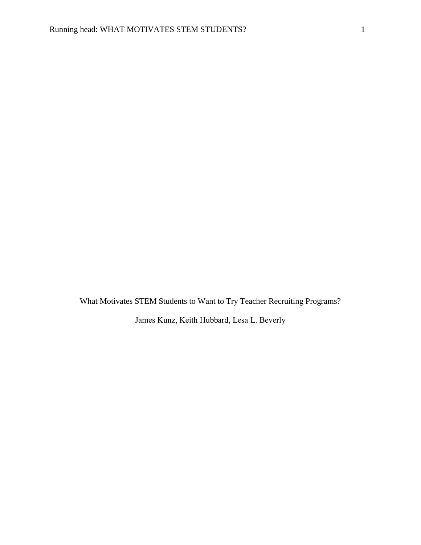What Motivates STEM Students to Want to Try Teacher Recruiting Programs?

James Kunz, Keith Hubbard, Lesa L. Beverly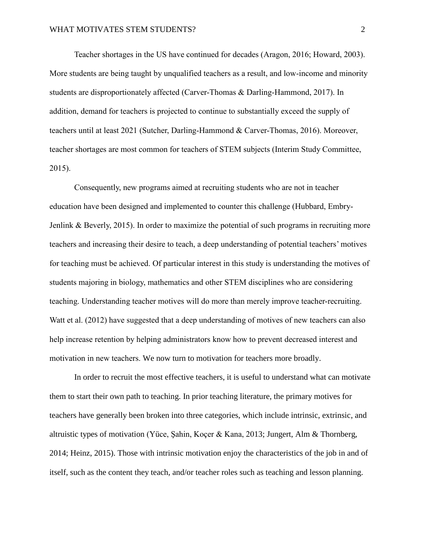Teacher shortages in the US have continued for decades (Aragon, 2016; Howard, 2003). More students are being taught by unqualified teachers as a result, and low-income and minority students are disproportionately affected (Carver-Thomas & Darling-Hammond, 2017). In addition, demand for teachers is projected to continue to substantially exceed the supply of teachers until at least 2021 (Sutcher, Darling-Hammond & Carver-Thomas, 2016). Moreover, teacher shortages are most common for teachers of STEM subjects (Interim Study Committee, 2015).

Consequently, new programs aimed at recruiting students who are not in teacher education have been designed and implemented to counter this challenge (Hubbard, Embry-Jenlink & Beverly, 2015). In order to maximize the potential of such programs in recruiting more teachers and increasing their desire to teach, a deep understanding of potential teachers' motives for teaching must be achieved. Of particular interest in this study is understanding the motives of students majoring in biology, mathematics and other STEM disciplines who are considering teaching. Understanding teacher motives will do more than merely improve teacher-recruiting. Watt et al. (2012) have suggested that a deep understanding of motives of new teachers can also help increase retention by helping administrators know how to prevent decreased interest and motivation in new teachers. We now turn to motivation for teachers more broadly.

In order to recruit the most effective teachers, it is useful to understand what can motivate them to start their own path to teaching. In prior teaching literature, the primary motives for teachers have generally been broken into three categories, which include intrinsic, extrinsic, and altruistic types of motivation (Yüce, Şahin, Koçer & Kana, 2013; Jungert, Alm & Thornberg, 2014; Heinz, 2015). Those with intrinsic motivation enjoy the characteristics of the job in and of itself, such as the content they teach, and/or teacher roles such as teaching and lesson planning.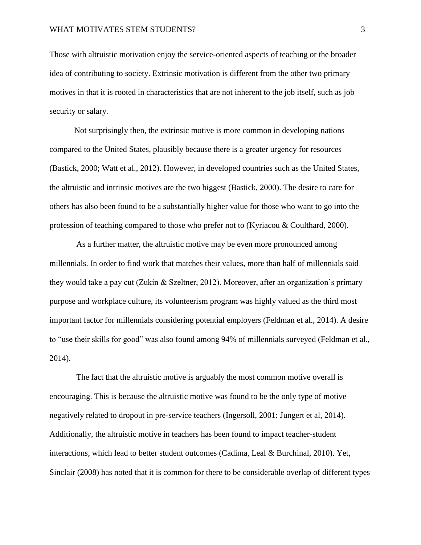Those with altruistic motivation enjoy the service-oriented aspects of teaching or the broader idea of contributing to society. Extrinsic motivation is different from the other two primary motives in that it is rooted in characteristics that are not inherent to the job itself, such as job security or salary.

 Not surprisingly then, the extrinsic motive is more common in developing nations compared to the United States, plausibly because there is a greater urgency for resources (Bastick, 2000; Watt et al., 2012). However, in developed countries such as the United States, the altruistic and intrinsic motives are the two biggest (Bastick, 2000). The desire to care for others has also been found to be a substantially higher value for those who want to go into the profession of teaching compared to those who prefer not to (Kyriacou & Coulthard, 2000).

 As a further matter, the altruistic motive may be even more pronounced among millennials. In order to find work that matches their values, more than half of millennials said they would take a pay cut (Zukin & Szeltner, 2012). Moreover, after an organization's primary purpose and workplace culture, its volunteerism program was highly valued as the third most important factor for millennials considering potential employers (Feldman et al., 2014). A desire to "use their skills for good" was also found among 94% of millennials surveyed (Feldman et al., 2014).

 The fact that the altruistic motive is arguably the most common motive overall is encouraging. This is because the altruistic motive was found to be the only type of motive negatively related to dropout in pre-service teachers (Ingersoll, 2001; Jungert et al, 2014). Additionally, the altruistic motive in teachers has been found to impact teacher-student interactions, which lead to better student outcomes (Cadima, Leal & Burchinal, 2010). Yet, Sinclair (2008) has noted that it is common for there to be considerable overlap of different types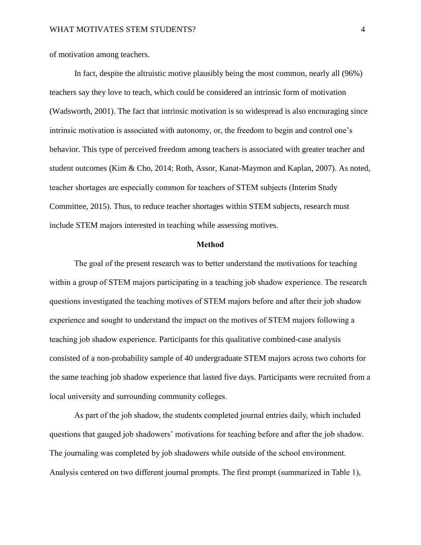of motivation among teachers.

 In fact, despite the altruistic motive plausibly being the most common, nearly all (96%) teachers say they love to teach, which could be considered an intrinsic form of motivation (Wadsworth, 2001). The fact that intrinsic motivation is so widespread is also encouraging since intrinsic motivation is associated with autonomy, or, the freedom to begin and control one's behavior. This type of perceived freedom among teachers is associated with greater teacher and student outcomes (Kim & Cho, 2014; Roth, Assor, Kanat-Maymon and Kaplan, 2007). As noted, teacher shortages are especially common for teachers of STEM subjects (Interim Study Committee, 2015). Thus, to reduce teacher shortages within STEM subjects, research must include STEM majors interested in teaching while assessing motives.

#### **Method**

The goal of the present research was to better understand the motivations for teaching within a group of STEM majors participating in a teaching job shadow experience. The research questions investigated the teaching motives of STEM majors before and after their job shadow experience and sought to understand the impact on the motives of STEM majors following a teaching job shadow experience. Participants for this qualitative combined-case analysis consisted of a non-probability sample of 40 undergraduate STEM majors across two cohorts for the same teaching job shadow experience that lasted five days. Participants were recruited from a local university and surrounding community colleges.

 As part of the job shadow, the students completed journal entries daily, which included questions that gauged job shadowers' motivations for teaching before and after the job shadow. The journaling was completed by job shadowers while outside of the school environment. Analysis centered on two different journal prompts. The first prompt (summarized in Table 1),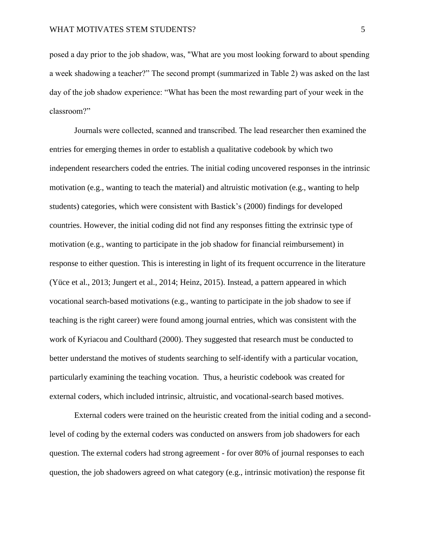posed a day prior to the job shadow, was, "What are you most looking forward to about spending a week shadowing a teacher?" The second prompt (summarized in Table 2) was asked on the last day of the job shadow experience: "What has been the most rewarding part of your week in the classroom?"

Journals were collected, scanned and transcribed. The lead researcher then examined the entries for emerging themes in order to establish a qualitative codebook by which two independent researchers coded the entries. The initial coding uncovered responses in the intrinsic motivation (e.g., wanting to teach the material) and altruistic motivation (e.g., wanting to help students) categories, which were consistent with Bastick's (2000) findings for developed countries. However, the initial coding did not find any responses fitting the extrinsic type of motivation (e.g., wanting to participate in the job shadow for financial reimbursement) in response to either question. This is interesting in light of its frequent occurrence in the literature (Yüce et al., 2013; Jungert et al., 2014; Heinz, 2015). Instead, a pattern appeared in which vocational search-based motivations (e.g., wanting to participate in the job shadow to see if teaching is the right career) were found among journal entries, which was consistent with the work of Kyriacou and Coulthard (2000). They suggested that research must be conducted to better understand the motives of students searching to self-identify with a particular vocation, particularly examining the teaching vocation. Thus, a heuristic codebook was created for external coders, which included intrinsic, altruistic, and vocational-search based motives.

External coders were trained on the heuristic created from the initial coding and a secondlevel of coding by the external coders was conducted on answers from job shadowers for each question. The external coders had strong agreement - for over 80% of journal responses to each question, the job shadowers agreed on what category (e.g., intrinsic motivation) the response fit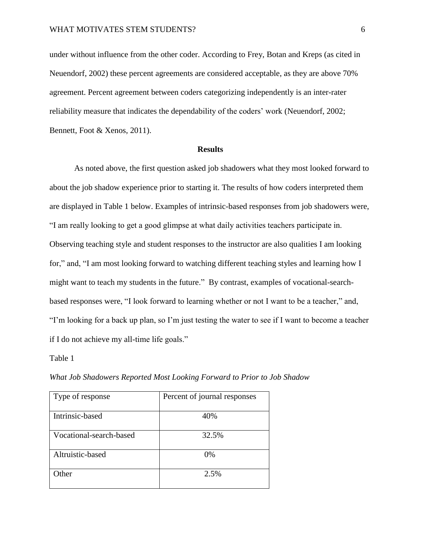under without influence from the other coder. According to Frey, Botan and Kreps (as cited in Neuendorf, 2002) these percent agreements are considered acceptable, as they are above 70% agreement. Percent agreement between coders categorizing independently is an inter-rater reliability measure that indicates the dependability of the coders' work (Neuendorf, 2002; Bennett, Foot & Xenos, 2011).

#### **Results**

 As noted above, the first question asked job shadowers what they most looked forward to about the job shadow experience prior to starting it. The results of how coders interpreted them are displayed in Table 1 below. Examples of intrinsic-based responses from job shadowers were, "I am really looking to get a good glimpse at what daily activities teachers participate in. Observing teaching style and student responses to the instructor are also qualities I am looking for," and, "I am most looking forward to watching different teaching styles and learning how I might want to teach my students in the future." By contrast, examples of vocational-searchbased responses were, "I look forward to learning whether or not I want to be a teacher," and, "I'm looking for a back up plan, so I'm just testing the water to see if I want to become a teacher if I do not achieve my all-time life goals."

Table 1

| Type of response        | Percent of journal responses |
|-------------------------|------------------------------|
| Intrinsic-based         | 40%                          |
| Vocational-search-based | 32.5%                        |
| Altruistic-based        | $0\%$                        |
| <b>Other</b>            | 2.5%                         |

*What Job Shadowers Reported Most Looking Forward to Prior to Job Shadow*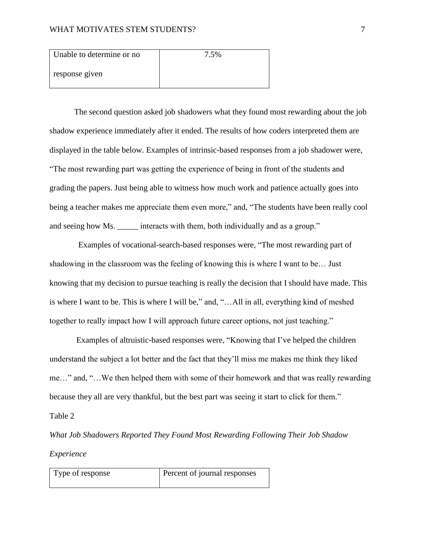| Unable to determine or no | 7.5% |
|---------------------------|------|
| response given            |      |

 The second question asked job shadowers what they found most rewarding about the job shadow experience immediately after it ended. The results of how coders interpreted them are displayed in the table below. Examples of intrinsic-based responses from a job shadower were, "The most rewarding part was getting the experience of being in front of the students and grading the papers. Just being able to witness how much work and patience actually goes into being a teacher makes me appreciate them even more," and, "The students have been really cool and seeing how Ms. \_\_\_\_\_ interacts with them, both individually and as a group."

 Examples of vocational-search-based responses were, "The most rewarding part of shadowing in the classroom was the feeling of knowing this is where I want to be… Just knowing that my decision to pursue teaching is really the decision that I should have made. This is where I want to be. This is where I will be," and, "…All in all, everything kind of meshed together to really impact how I will approach future career options, not just teaching."

 Examples of altruistic-based responses were, "Knowing that I've helped the children understand the subject a lot better and the fact that they'll miss me makes me think they liked me…" and, "…We then helped them with some of their homework and that was really rewarding because they all are very thankful, but the best part was seeing it start to click for them."

Table 2

*What Job Shadowers Reported They Found Most Rewarding Following Their Job Shadow Experience*

| Type of response | Percent of journal responses |
|------------------|------------------------------|
|                  |                              |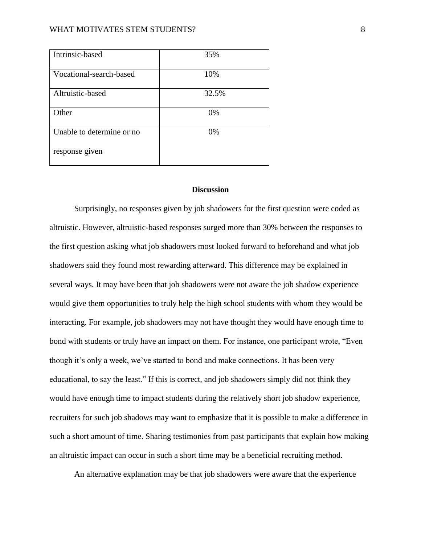## WHAT MOTIVATES STEM STUDENTS? 8

| Intrinsic-based           | 35%   |
|---------------------------|-------|
| Vocational-search-based   | 10%   |
| Altruistic-based          | 32.5% |
| Other                     | 0%    |
| Unable to determine or no | 0%    |
| response given            |       |

# **Discussion**

Surprisingly, no responses given by job shadowers for the first question were coded as altruistic. However, altruistic-based responses surged more than 30% between the responses to the first question asking what job shadowers most looked forward to beforehand and what job shadowers said they found most rewarding afterward. This difference may be explained in several ways. It may have been that job shadowers were not aware the job shadow experience would give them opportunities to truly help the high school students with whom they would be interacting. For example, job shadowers may not have thought they would have enough time to bond with students or truly have an impact on them. For instance, one participant wrote, "Even though it's only a week, we've started to bond and make connections. It has been very educational, to say the least." If this is correct, and job shadowers simply did not think they would have enough time to impact students during the relatively short job shadow experience, recruiters for such job shadows may want to emphasize that it is possible to make a difference in such a short amount of time. Sharing testimonies from past participants that explain how making an altruistic impact can occur in such a short time may be a beneficial recruiting method.

An alternative explanation may be that job shadowers were aware that the experience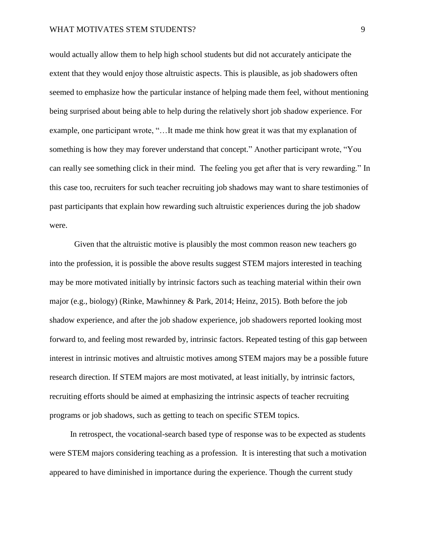would actually allow them to help high school students but did not accurately anticipate the extent that they would enjoy those altruistic aspects. This is plausible, as job shadowers often seemed to emphasize how the particular instance of helping made them feel, without mentioning being surprised about being able to help during the relatively short job shadow experience. For example, one participant wrote, "…It made me think how great it was that my explanation of something is how they may forever understand that concept." Another participant wrote, "You can really see something click in their mind. The feeling you get after that is very rewarding." In this case too, recruiters for such teacher recruiting job shadows may want to share testimonies of past participants that explain how rewarding such altruistic experiences during the job shadow were.

Given that the altruistic motive is plausibly the most common reason new teachers go into the profession, it is possible the above results suggest STEM majors interested in teaching may be more motivated initially by intrinsic factors such as teaching material within their own major (e.g., biology) (Rinke, Mawhinney & Park, 2014; Heinz, 2015). Both before the job shadow experience, and after the job shadow experience, job shadowers reported looking most forward to, and feeling most rewarded by, intrinsic factors. Repeated testing of this gap between interest in intrinsic motives and altruistic motives among STEM majors may be a possible future research direction. If STEM majors are most motivated, at least initially, by intrinsic factors, recruiting efforts should be aimed at emphasizing the intrinsic aspects of teacher recruiting programs or job shadows, such as getting to teach on specific STEM topics.

 In retrospect, the vocational-search based type of response was to be expected as students were STEM majors considering teaching as a profession. It is interesting that such a motivation appeared to have diminished in importance during the experience. Though the current study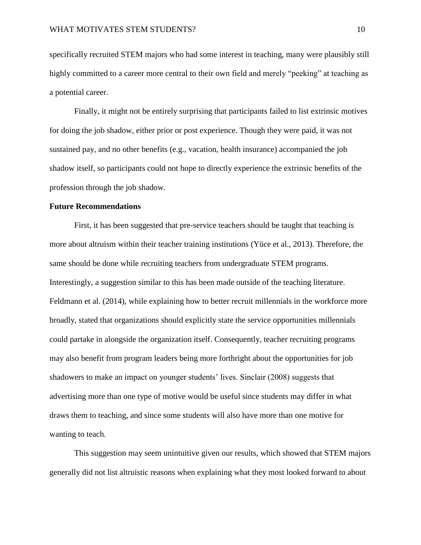specifically recruited STEM majors who had some interest in teaching, many were plausibly still highly committed to a career more central to their own field and merely "peeking" at teaching as a potential career.

Finally, it might not be entirely surprising that participants failed to list extrinsic motives for doing the job shadow, either prior or post experience. Though they were paid, it was not sustained pay, and no other benefits (e.g., vacation, health insurance) accompanied the job shadow itself, so participants could not hope to directly experience the extrinsic benefits of the profession through the job shadow.

## **Future Recommendations**

 First, it has been suggested that pre-service teachers should be taught that teaching is more about altruism within their teacher training institutions (Yüce et al., 2013). Therefore, the same should be done while recruiting teachers from undergraduate STEM programs. Interestingly, a suggestion similar to this has been made outside of the teaching literature. Feldmann et al. (2014), while explaining how to better recruit millennials in the workforce more broadly, stated that organizations should explicitly state the service opportunities millennials could partake in alongside the organization itself. Consequently, teacher recruiting programs may also benefit from program leaders being more forthright about the opportunities for job shadowers to make an impact on younger students' lives. Sinclair (2008) suggests that advertising more than one type of motive would be useful since students may differ in what draws them to teaching, and since some students will also have more than one motive for wanting to teach.

 This suggestion may seem unintuitive given our results, which showed that STEM majors generally did not list altruistic reasons when explaining what they most looked forward to about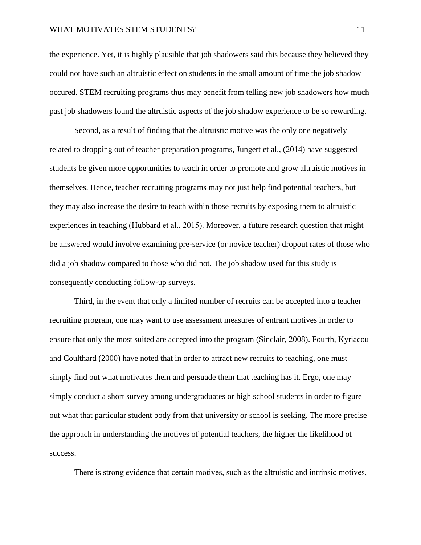## WHAT MOTIVATES STEM STUDENTS? 11

the experience. Yet, it is highly plausible that job shadowers said this because they believed they could not have such an altruistic effect on students in the small amount of time the job shadow occured. STEM recruiting programs thus may benefit from telling new job shadowers how much past job shadowers found the altruistic aspects of the job shadow experience to be so rewarding.

 Second, as a result of finding that the altruistic motive was the only one negatively related to dropping out of teacher preparation programs, Jungert et al., (2014) have suggested students be given more opportunities to teach in order to promote and grow altruistic motives in themselves. Hence, teacher recruiting programs may not just help find potential teachers, but they may also increase the desire to teach within those recruits by exposing them to altruistic experiences in teaching (Hubbard et al., 2015). Moreover, a future research question that might be answered would involve examining pre-service (or novice teacher) dropout rates of those who did a job shadow compared to those who did not. The job shadow used for this study is consequently conducting follow-up surveys.

 Third, in the event that only a limited number of recruits can be accepted into a teacher recruiting program, one may want to use assessment measures of entrant motives in order to ensure that only the most suited are accepted into the program (Sinclair, 2008). Fourth, Kyriacou and Coulthard (2000) have noted that in order to attract new recruits to teaching, one must simply find out what motivates them and persuade them that teaching has it. Ergo, one may simply conduct a short survey among undergraduates or high school students in order to figure out what that particular student body from that university or school is seeking. The more precise the approach in understanding the motives of potential teachers, the higher the likelihood of success.

There is strong evidence that certain motives, such as the altruistic and intrinsic motives,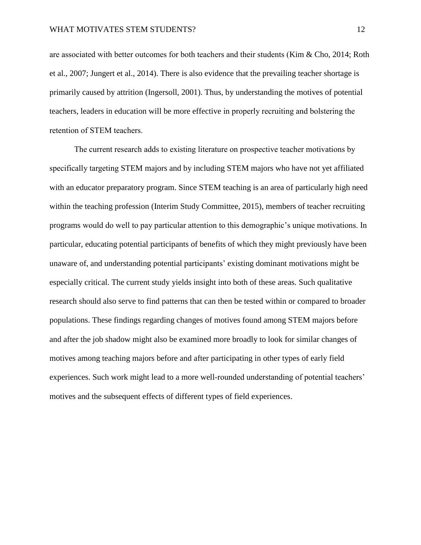are associated with better outcomes for both teachers and their students (Kim & Cho, 2014; Roth et al., 2007; Jungert et al., 2014). There is also evidence that the prevailing teacher shortage is primarily caused by attrition (Ingersoll, 2001). Thus, by understanding the motives of potential teachers, leaders in education will be more effective in properly recruiting and bolstering the retention of STEM teachers.

The current research adds to existing literature on prospective teacher motivations by specifically targeting STEM majors and by including STEM majors who have not yet affiliated with an educator preparatory program. Since STEM teaching is an area of particularly high need within the teaching profession (Interim Study Committee, 2015), members of teacher recruiting programs would do well to pay particular attention to this demographic's unique motivations. In particular, educating potential participants of benefits of which they might previously have been unaware of, and understanding potential participants' existing dominant motivations might be especially critical. The current study yields insight into both of these areas. Such qualitative research should also serve to find patterns that can then be tested within or compared to broader populations. These findings regarding changes of motives found among STEM majors before and after the job shadow might also be examined more broadly to look for similar changes of motives among teaching majors before and after participating in other types of early field experiences. Such work might lead to a more well-rounded understanding of potential teachers' motives and the subsequent effects of different types of field experiences.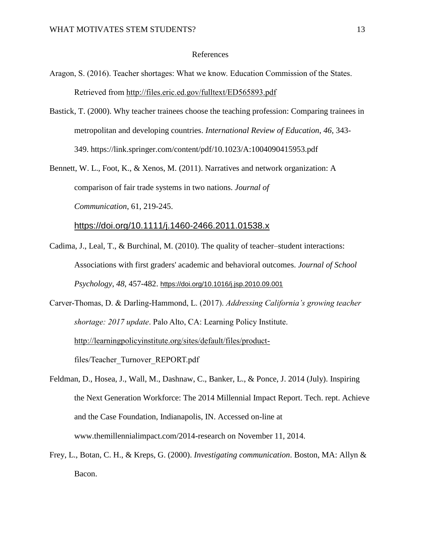## References

- Aragon, S. (2016). Teacher shortages: What we know. Education Commission of the States. Retrieved from<http://files.eric.ed.gov/fulltext/ED565893.pdf>
- Bastick, T. (2000). Why teacher trainees choose the teaching profession: Comparing trainees in metropolitan and developing countries. *International Review of Education*, *46*, 343- 349. https://link.springer.com/content/pdf/10.1023/A:1004090415953.pdf

Bennett, W. L., Foot, K., & Xenos, M. (2011). Narratives and network organization: A comparison of fair trade systems in two nations. *Journal of Communication*, 61, 219-245.

<https://doi.org/10.1111/j.1460-2466.2011.01538.x>

Cadima, J., Leal, T., & Burchinal, M. (2010). The quality of teacher–student interactions: Associations with first graders' academic and behavioral outcomes. *Journal of School Psychology*, *48*, 457-482. <https://doi.org/10.1016/j.jsp.2010.09.001>

Carver-Thomas, D. & Darling-Hammond, L. (2017). *Addressing California's growing teacher shortage: 2017 update*. Palo Alto, CA: Learning Policy Institute. [http://learningpolicyinstitute.org/sites/default/files/product](http://learningpolicyinstitute.org/sites/default/files/product-)files/Teacher\_Turnover\_REPORT.pdf

Feldman, D., Hosea, J., Wall, M., Dashnaw, C., Banker, L., & Ponce, J. 2014 (July). Inspiring the Next Generation Workforce: The 2014 Millennial Impact Report. Tech. rept. Achieve and the Case Foundation, Indianapolis, IN. Accessed on-line at www.themillennialimpact.com/2014-research on November 11, 2014.

Frey, L., Botan, C. H., & Kreps, G. (2000). *Investigating communication*. Boston, MA: Allyn & Bacon.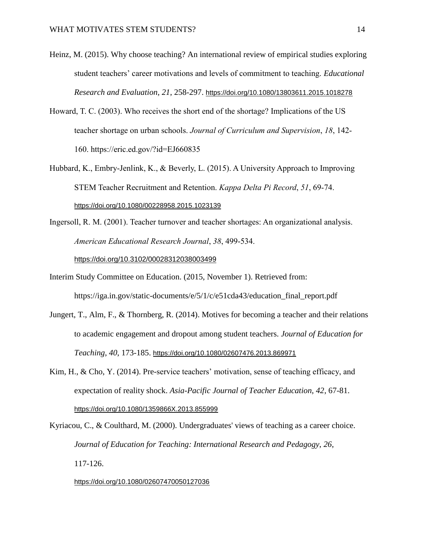- Heinz, M. (2015). Why choose teaching? An international review of empirical studies exploring student teachers' career motivations and levels of commitment to teaching. *Educational Research and Evaluation*, *21*, 258-297. <https://doi.org/10.1080/13803611.2015.1018278>
- Howard, T. C. (2003). Who receives the short end of the shortage? Implications of the US teacher shortage on urban schools. *Journal of Curriculum and Supervision*, *18*, 142- 160. https://eric.ed.gov/?id=EJ660835
- Hubbard, K., Embry-Jenlink, K., & Beverly, L. (2015). A University Approach to Improving STEM Teacher Recruitment and Retention. *Kappa Delta Pi Record*, *51*, 69-74. <https://doi.org/10.1080/00228958.2015.1023139>
- Ingersoll, R. M. (2001). Teacher turnover and teacher shortages: An organizational analysis. *American Educational Research Journal*, *38*, 499-534.

[https://doi.org/10.3102/00028312038003499](https://doi.org/10.3102%2F00028312038003499)

- Interim Study Committee on Education. (2015, November 1). Retrieved from: https://iga.in.gov/static-documents/e/5/1/c/e51cda43/education\_final\_report.pdf
- Jungert, T., Alm, F., & Thornberg, R. (2014). Motives for becoming a teacher and their relations to academic engagement and dropout among student teachers. *Journal of Education for Teaching*, *40*, 173-185. <https://doi.org/10.1080/02607476.2013.869971>
- Kim, H., & Cho, Y. (2014). Pre-service teachers' motivation, sense of teaching efficacy, and expectation of reality shock. *Asia-Pacific Journal of Teacher Education*, *42*, 67-81. <https://doi.org/10.1080/1359866X.2013.855999>

Kyriacou, C., & Coulthard, M. (2000). Undergraduates' views of teaching as a career choice. *Journal of Education for Teaching: International Research and Pedagogy*, *26*, 117-126.

#### <https://doi.org/10.1080/02607470050127036>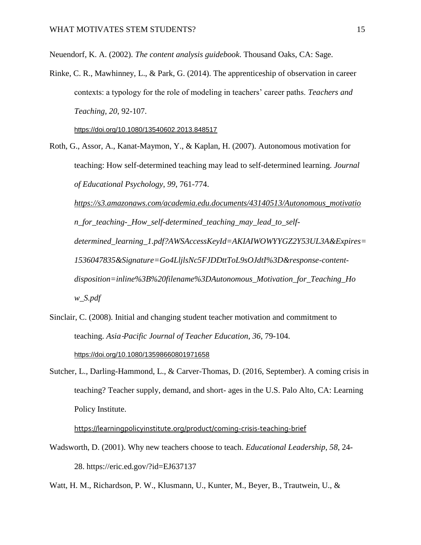Neuendorf, K. A. (2002). *The content analysis guidebook*. Thousand Oaks, CA: Sage.

Rinke, C. R., Mawhinney, L., & Park, G. (2014). The apprenticeship of observation in career contexts: a typology for the role of modeling in teachers' career paths. *Teachers and Teaching*, *20*, 92-107.

<https://doi.org/10.1080/13540602.2013.848517>

Roth, G., Assor, A., Kanat-Maymon, Y., & Kaplan, H. (2007). Autonomous motivation for teaching: How self-determined teaching may lead to self-determined learning. *Journal of Educational Psychology*, *99*, 761-774.

*[https://s3.amazonaws.com/academia.edu.documents/43140513/Autonomous\\_motivatio](https://s3.amazonaws.com/academia.edu.documents/43140513/Autonomous_motivatio) n\_for\_teaching-\_How\_self-determined\_teaching\_may\_lead\_to\_selfdetermined\_learning\_1.pdf?AWSAccessKeyId=AKIAIWOWYYGZ2Y53UL3A&Expires= 1536047835&Signature=Go4LljlsNc5FJDDttToL9sOJdtI%3D&response-contentdisposition=inline%3B%20filename%3DAutonomous\_Motivation\_for\_Teaching\_Ho w\_S.pdf*

- Sinclair, C. (2008). Initial and changing student teacher motivation and commitment to teaching. *Asia*‐*Pacific Journal of Teacher Education*, *36*, 79-104. <https://doi.org/10.1080/13598660801971658>
- Sutcher, L., Darling-Hammond, L., & Carver-Thomas, D. (2016, September). A coming crisis in teaching? Teacher supply, demand, and short- ages in the U.S. Palo Alto, CA: Learning Policy Institute.

<https://learningpolicyinstitute.org/product/coming-crisis-teaching-brief>

Wadsworth, D. (2001). Why new teachers choose to teach. *Educational Leadership*, *58*, 24- 28. https://eric.ed.gov/?id=EJ637137

Watt, H. M., Richardson, P. W., Klusmann, U., Kunter, M., Beyer, B., Trautwein, U., &